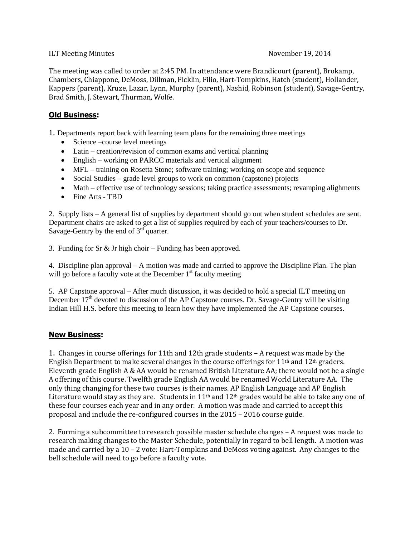## ILT Meeting Minutes **November 19, 2014**

The meeting was called to order at 2:45 PM. In attendance were Brandicourt (parent), Brokamp, Chambers, Chiappone, DeMoss, Dillman, Ficklin, Filio, Hart-Tompkins, Hatch (student), Hollander, Kappers (parent), Kruze, Lazar, Lynn, Murphy (parent), Nashid, Robinson (student), Savage-Gentry, Brad Smith, J. Stewart, Thurman, Wolfe.

## **Old Business:**

1. Departments report back with learning team plans for the remaining three meetings

- Science –course level meetings
- Latin creation/revision of common exams and vertical planning
- English working on PARCC materials and vertical alignment
- MFL training on Rosetta Stone; software training; working on scope and sequence
- Social Studies grade level groups to work on common (capstone) projects
- Math effective use of technology sessions; taking practice assessments; revamping alighments
- Fine Arts TBD

2. Supply lists – A general list of supplies by department should go out when student schedules are sent. Department chairs are asked to get a list of supplies required by each of your teachers/courses to Dr. Savage-Gentry by the end of  $3<sup>rd</sup>$  quarter.

3. Funding for Sr & Jr high choir – Funding has been approved.

4. Discipline plan approval – A motion was made and carried to approve the Discipline Plan. The plan will go before a faculty vote at the December  $1<sup>st</sup>$  faculty meeting

5. AP Capstone approval – After much discussion, it was decided to hold a special ILT meeting on December  $17<sup>th</sup>$  devoted to discussion of the AP Capstone courses. Dr. Savage-Gentry will be visiting Indian Hill H.S. before this meeting to learn how they have implemented the AP Capstone courses.

## **New Business:**

1. Changes in course offerings for 11th and 12th grade students – A request was made by the English Department to make several changes in the course offerings for 11<sup>th</sup> and 12<sup>th</sup> graders. Eleventh grade English A & AA would be renamed British Literature AA; there would not be a single A offering of this course. Twelfth grade English AA would be renamed World Literature AA. The only thing changing for these two courses is their names. AP English Language and AP English Literature would stay as they are. Students in  $11<sup>th</sup>$  and  $12<sup>th</sup>$  grades would be able to take any one of these four courses each year and in any order. A motion was made and carried to accept this proposal and include the re-configured courses in the 2015 – 2016 course guide.

2. Forming a subcommittee to research possible master schedule changes – A request was made to research making changes to the Master Schedule, potentially in regard to bell length. A motion was made and carried by a 10 – 2 vote: Hart-Tompkins and DeMoss voting against. Any changes to the bell schedule will need to go before a faculty vote.